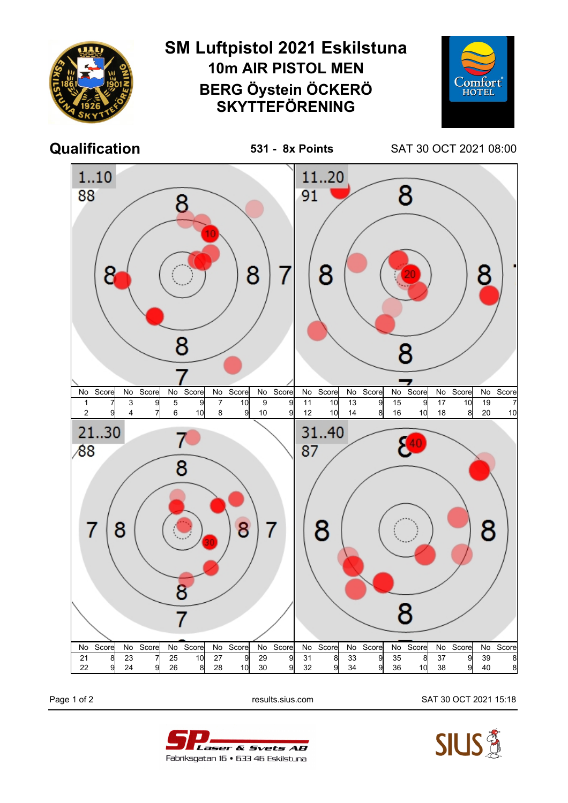

Page 1 of 2 results.sius.com SAT 30 OCT 2021 15:18